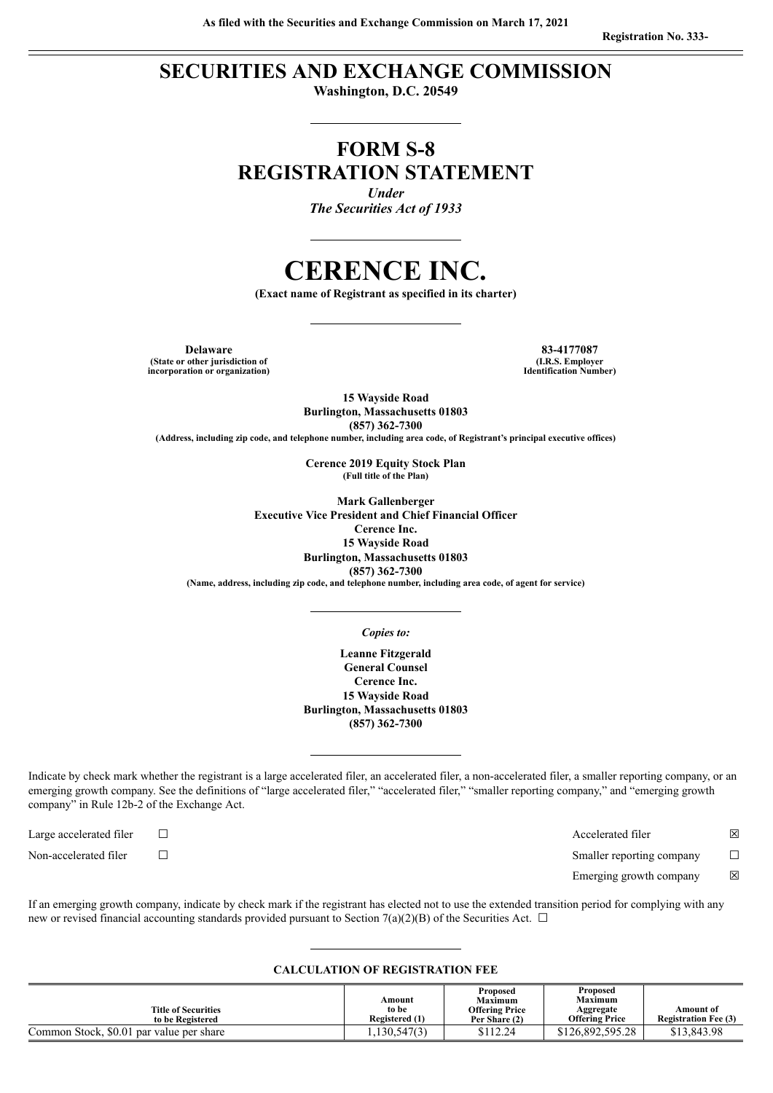# **SECURITIES AND EXCHANGE COMMISSION**

**Washington, D.C. 20549**

# **FORM S-8 REGISTRATION STATEMENT**

*Under The Securities Act of 1933*

# **CERENCE INC.**

**(Exact name of Registrant as specified in its charter)**

**Delaware 83-4177087 (State or other jurisdiction of incorporation or organization)**

**(I.R.S. Employer Identification Number)**

**15 Wayside Road Burlington, Massachusetts 01803 (857) 362-7300**

**(Address, including zip code, and telephone number, including area code, of Registrant's principal executive offices)**

**Cerence 2019 Equity Stock Plan (Full title of the Plan)**

**Mark Gallenberger Executive Vice President and Chief Financial Officer Cerence Inc. 15 Wayside Road Burlington, Massachusetts 01803 (857) 362-7300 (Name, address, including zip code, and telephone number, including area code, of agent for service)**

#### *Copies to:*

**Leanne Fitzgerald General Counsel Cerence Inc. 15 Wayside Road Burlington, Massachusetts 01803 (857) 362-7300**

Indicate by check mark whether the registrant is a large accelerated filer, an accelerated filer, a non-accelerated filer, a smaller reporting company, or an emerging growth company. See the definitions of "large accelerated filer," "accelerated filer," "smaller reporting company," and "emerging growth company" in Rule 12b-2 of the Exchange Act.

Large accelerated filer ☐ Accelerated filer ☒

Non-accelerated filer ☐ Smaller reporting company ☐

Emerging growth company  $\boxtimes$ 

If an emerging growth company, indicate by check mark if the registrant has elected not to use the extended transition period for complying with any new or revised financial accounting standards provided pursuant to Section 7(a)(2)(B) of the Securities Act.  $\Box$ 

#### **CALCULATION OF REGISTRATION FEE**

| <b>Title of Securities</b><br>to be Registered | Amount<br>to be<br>Registered (1) | Proposed<br><b>Maximum</b><br><b>Offering Price</b><br>Per Share (2) | Proposed<br><b>Maximum</b><br>Aggregate<br><b>Offering Price</b> | Amount of<br><b>Registration Fee (3)</b> |
|------------------------------------------------|-----------------------------------|----------------------------------------------------------------------|------------------------------------------------------------------|------------------------------------------|
| Common Stock, \$0.01 par value per share       | 130,547(3)                        | \$112.24                                                             | \$126,892,595,28                                                 | \$13,843.98                              |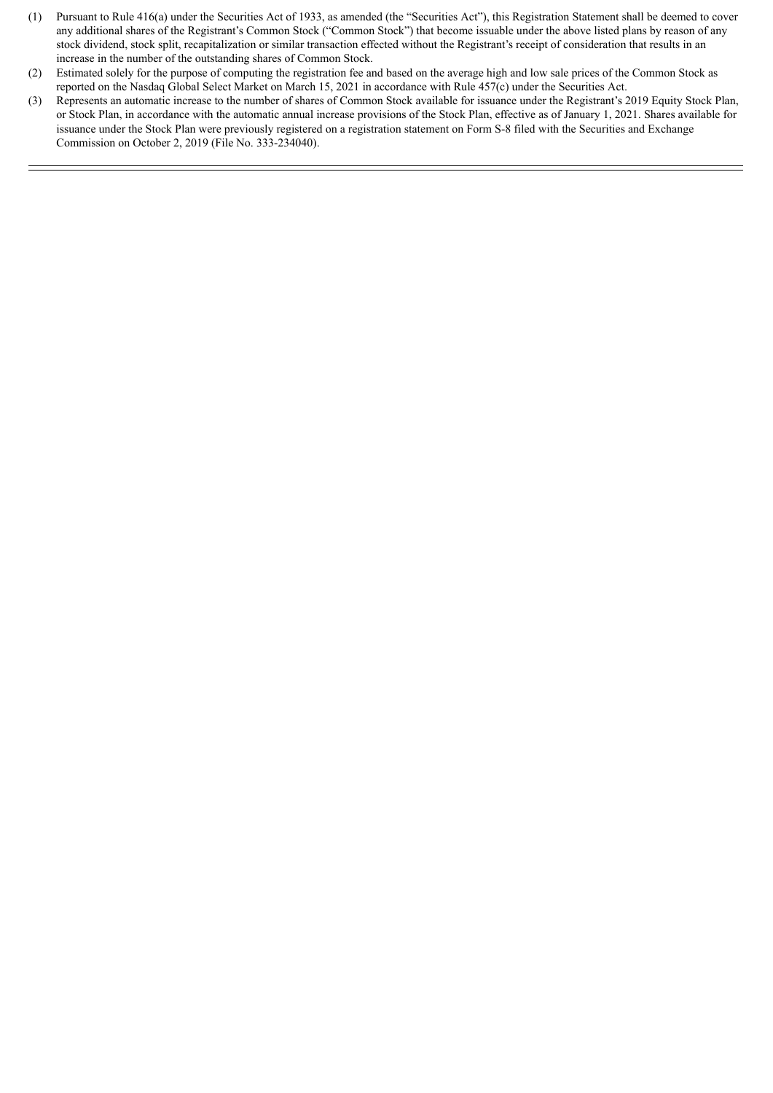- (1) Pursuant to Rule 416(a) under the Securities Act of 1933, as amended (the "Securities Act"), this Registration Statement shall be deemed to cover any additional shares of the Registrant's Common Stock ("Common Stock") that become issuable under the above listed plans by reason of any stock dividend, stock split, recapitalization or similar transaction effected without the Registrant's receipt of consideration that results in an increase in the number of the outstanding shares of Common Stock.
- (2) Estimated solely for the purpose of computing the registration fee and based on the average high and low sale prices of the Common Stock as reported on the Nasdaq Global Select Market on March 15, 2021 in accordance with Rule 457(c) under the Securities Act.
- (3) Represents an automatic increase to the number of shares of Common Stock available for issuance under the Registrant's 2019 Equity Stock Plan, or Stock Plan, in accordance with the automatic annual increase provisions of the Stock Plan, effective as of January 1, 2021. Shares available for issuance under the Stock Plan were previously registered on a registration statement on Form S-8 filed with the Securities and Exchange Commission on October 2, 2019 (File No. 333-234040).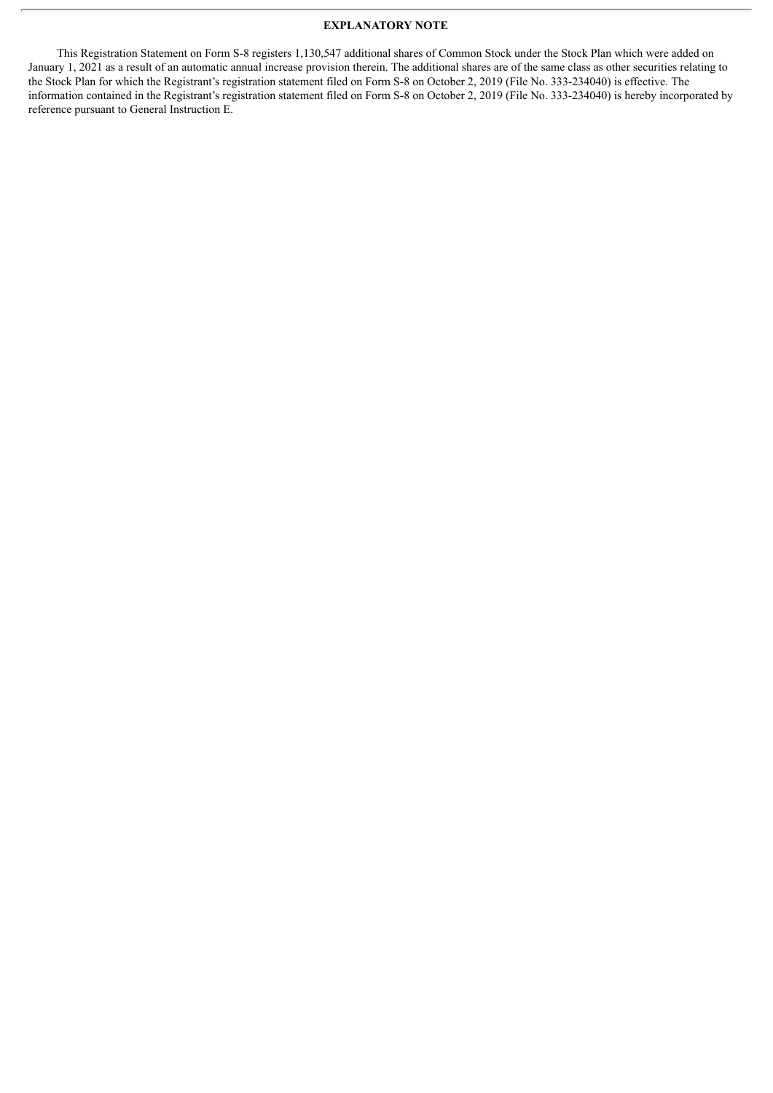### **EXPLANATORY NOTE**

This Registration Statement on Form S-8 registers 1,130,547 additional shares of Common Stock under the Stock Plan which were added on January 1, 2021 as a result of an automatic annual increase provision therein. The additional shares are of the same class as other securities relating to the Stock Plan for which the Registrant's registration statement filed on Form S-8 on October 2, 2019 (File No. 333-234040) is effective. The information contained in the Registrant's registration statement filed on Form S-8 on October 2, 2019 (File No. 333-234040) is hereby incorporated by reference pursuant to General Instruction E.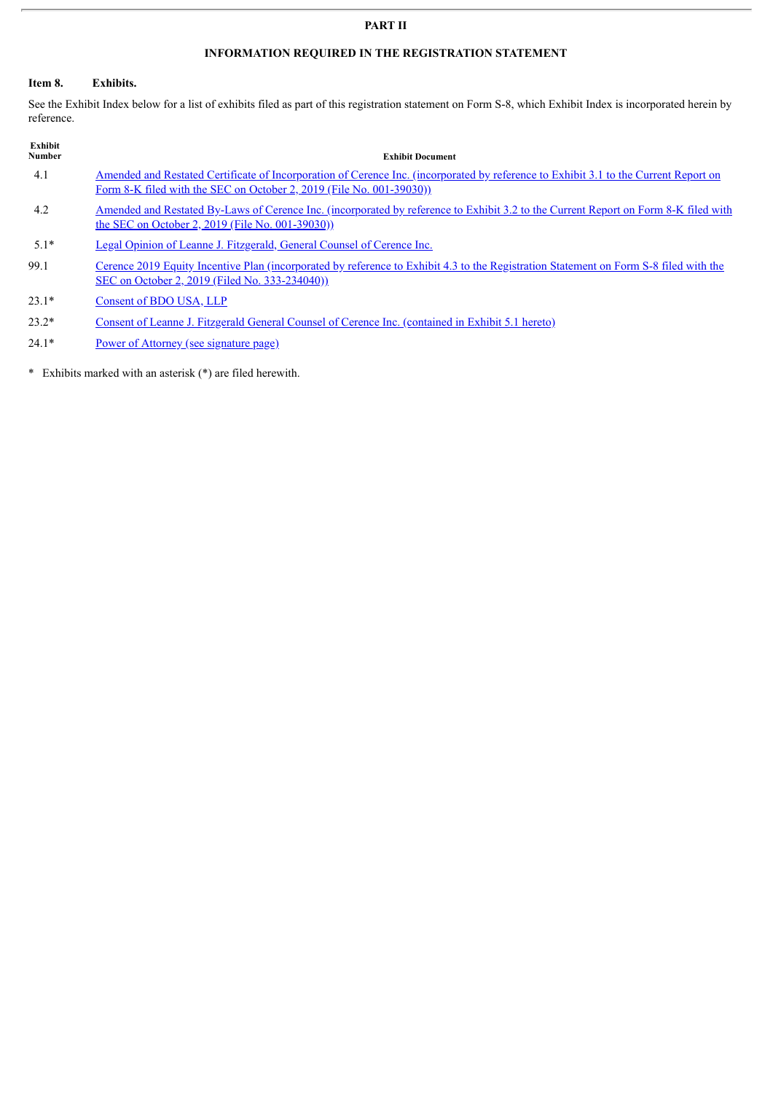### **PART II**

## **INFORMATION REQUIRED IN THE REGISTRATION STATEMENT**

## **Item 8. Exhibits.**

See the Exhibit Index below for a list of exhibits filed as part of this registration statement on Form S-8, which Exhibit Index is incorporated herein by reference.

| Exhibit<br><b>Number</b> | <b>Exhibit Document</b>                                                                                                                                                                                      |
|--------------------------|--------------------------------------------------------------------------------------------------------------------------------------------------------------------------------------------------------------|
| 4.1                      | Amended and Restated Certificate of Incorporation of Cerence Inc. (incorporated by reference to Exhibit 3.1 to the Current Report on<br>Form 8-K filed with the SEC on October 2, 2019 (File No. 001-39030)) |
| 4.2                      | <u>Amended and Restated By-Laws of Cerence Inc. (incorporated by reference to Exhibit 3.2 to the Current Report on Form 8-K filed with</u><br>the SEC on October 2, 2019 (File No. 001-39030))               |
| $5.1*$                   | Legal Opinion of Leanne J. Fitzgerald, General Counsel of Cerence Inc.                                                                                                                                       |
| 99.1                     | Cerence 2019 Equity Incentive Plan (incorporated by reference to Exhibit 4.3 to the Registration Statement on Form S-8 filed with the<br>SEC on October 2, 2019 (Filed No. 333-234040))                      |
| $23.1*$                  | Consent of BDO USA, LLP                                                                                                                                                                                      |
| $23.2*$                  | Consent of Leanne J. Fitzgerald General Counsel of Cerence Inc. (contained in Exhibit 5.1 hereto)                                                                                                            |

24.1\* Power of Attorney (see [signature](#page-4-0) page)

\* Exhibits marked with an asterisk (\*) are filed herewith.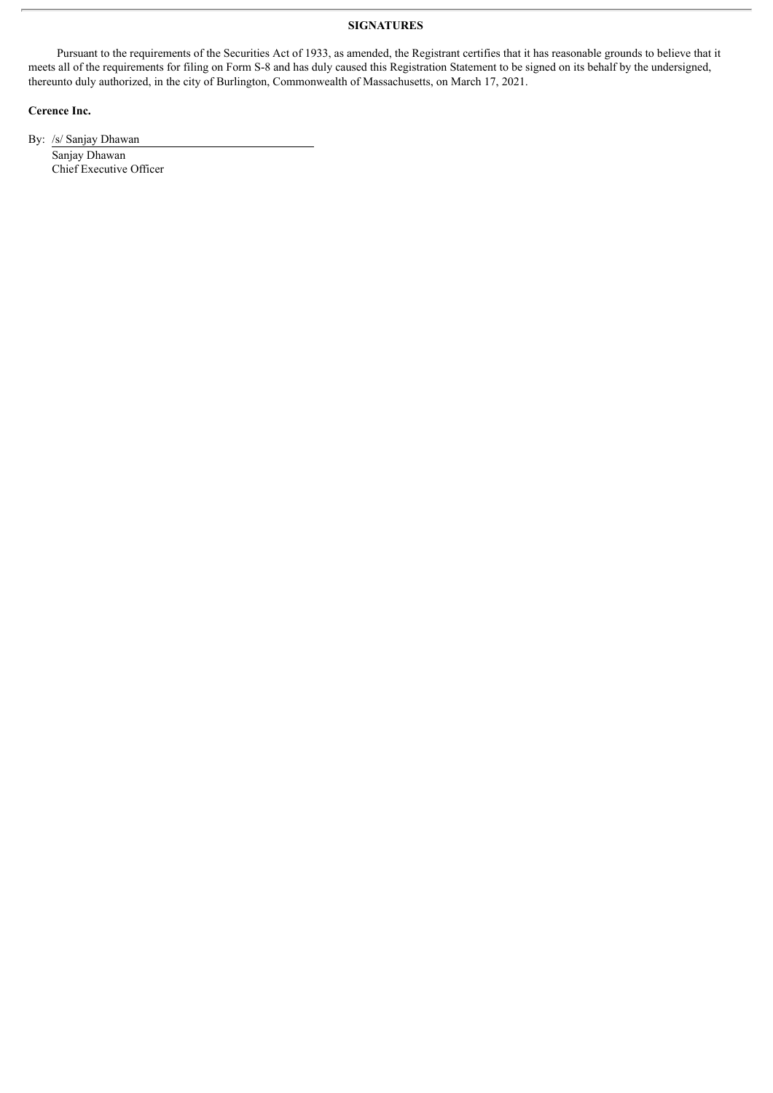### **SIGNATURES**

<span id="page-4-0"></span>Pursuant to the requirements of the Securities Act of 1933, as amended, the Registrant certifies that it has reasonable grounds to believe that it meets all of the requirements for filing on Form S-8 and has duly caused this Registration Statement to be signed on its behalf by the undersigned, thereunto duly authorized, in the city of Burlington, Commonwealth of Massachusetts, on March 17, 2021.

### **Cerence Inc.**

By: /s/ Sanjay Dhawan

Sanjay Dhawan Chief Executive Officer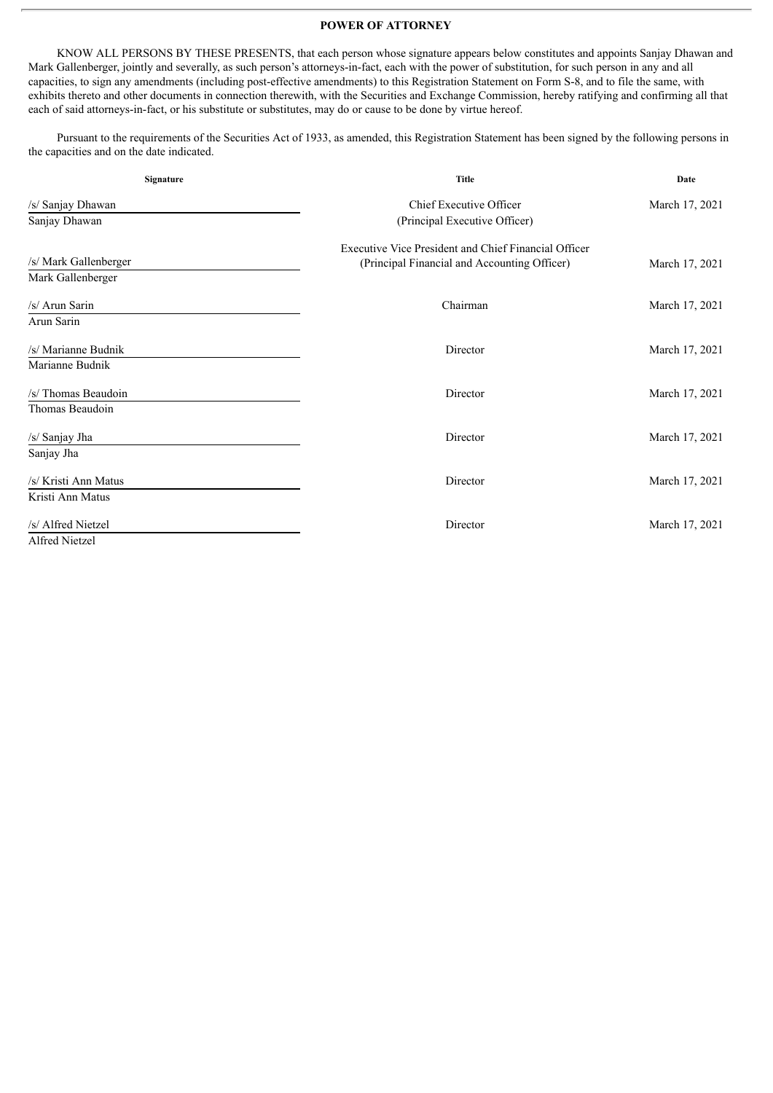#### **POWER OF ATTORNEY**

KNOW ALL PERSONS BY THESE PRESENTS, that each person whose signature appears below constitutes and appoints Sanjay Dhawan and Mark Gallenberger, jointly and severally, as such person's attorneys-in-fact, each with the power of substitution, for such person in any and all capacities, to sign any amendments (including post-effective amendments) to this Registration Statement on Form S-8, and to file the same, with exhibits thereto and other documents in connection therewith, with the Securities and Exchange Commission, hereby ratifying and confirming all that each of said attorneys-in-fact, or his substitute or substitutes, may do or cause to be done by virtue hereof.

Pursuant to the requirements of the Securities Act of 1933, as amended, this Registration Statement has been signed by the following persons in the capacities and on the date indicated.

| Signature             | <b>Title</b>                                         | Date           |  |
|-----------------------|------------------------------------------------------|----------------|--|
| /s/ Sanjay Dhawan     | <b>Chief Executive Officer</b>                       | March 17, 2021 |  |
| Sanjay Dhawan         | (Principal Executive Officer)                        |                |  |
|                       | Executive Vice President and Chief Financial Officer |                |  |
| /s/ Mark Gallenberger | (Principal Financial and Accounting Officer)         | March 17, 2021 |  |
| Mark Gallenberger     |                                                      |                |  |
| /s/ Arun Sarin        | Chairman                                             | March 17, 2021 |  |
| Arun Sarin            |                                                      |                |  |
| /s/ Marianne Budnik   | Director                                             | March 17, 2021 |  |
| Marianne Budnik       |                                                      |                |  |
| /s/ Thomas Beaudoin   | Director                                             | March 17, 2021 |  |
| Thomas Beaudoin       |                                                      |                |  |
| /s/ Sanjay Jha        | Director                                             | March 17, 2021 |  |
| Sanjay Jha            |                                                      |                |  |
| /s/ Kristi Ann Matus  | Director                                             | March 17, 2021 |  |
| Kristi Ann Matus      |                                                      |                |  |
| /s/ Alfred Nietzel    | Director                                             | March 17, 2021 |  |
| Alfred Nietzel        |                                                      |                |  |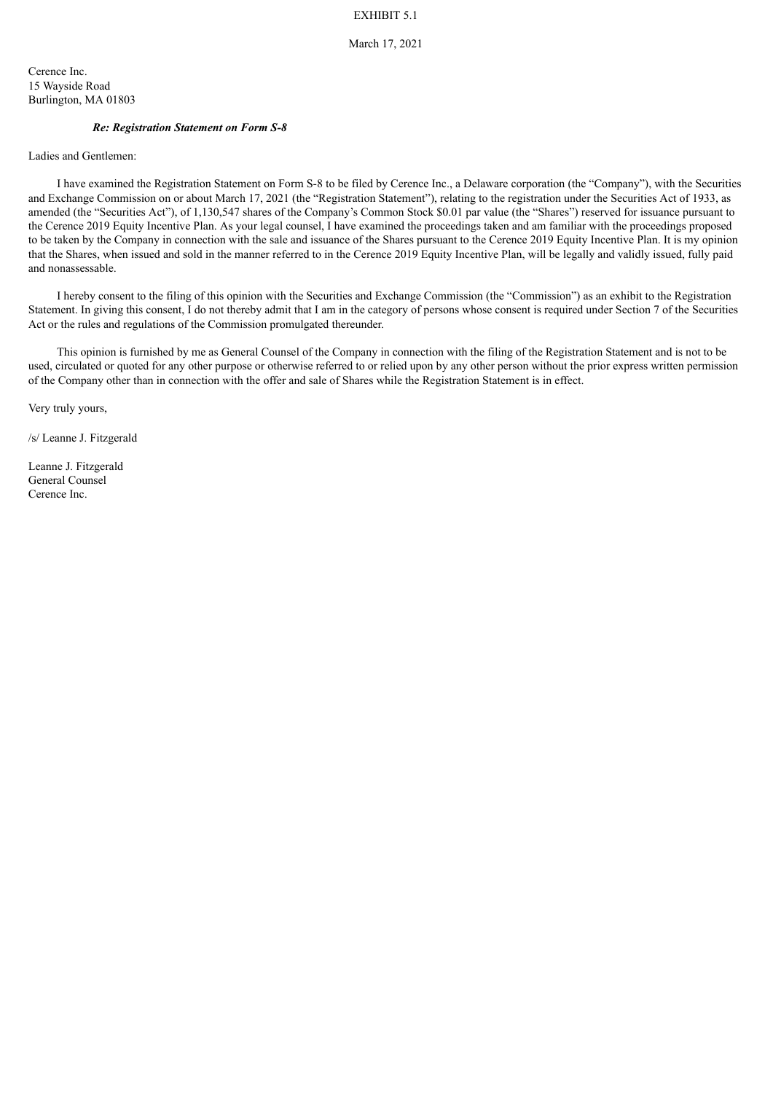## EXHIBIT 5.1

## March 17, 2021

<span id="page-6-0"></span>Cerence Inc. 15 Wayside Road Burlington, MA 01803

#### *Re: Registration Statement on Form S-8*

Ladies and Gentlemen:

I have examined the Registration Statement on Form S-8 to be filed by Cerence Inc., a Delaware corporation (the "Company"), with the Securities and Exchange Commission on or about March 17, 2021 (the "Registration Statement"), relating to the registration under the Securities Act of 1933, as amended (the "Securities Act"), of 1,130,547 shares of the Company's Common Stock \$0.01 par value (the "Shares") reserved for issuance pursuant to the Cerence 2019 Equity Incentive Plan. As your legal counsel, I have examined the proceedings taken and am familiar with the proceedings proposed to be taken by the Company in connection with the sale and issuance of the Shares pursuant to the Cerence 2019 Equity Incentive Plan. It is my opinion that the Shares, when issued and sold in the manner referred to in the Cerence 2019 Equity Incentive Plan, will be legally and validly issued, fully paid and nonassessable.

I hereby consent to the filing of this opinion with the Securities and Exchange Commission (the "Commission") as an exhibit to the Registration Statement. In giving this consent, I do not thereby admit that I am in the category of persons whose consent is required under Section 7 of the Securities Act or the rules and regulations of the Commission promulgated thereunder.

This opinion is furnished by me as General Counsel of the Company in connection with the filing of the Registration Statement and is not to be used, circulated or quoted for any other purpose or otherwise referred to or relied upon by any other person without the prior express written permission of the Company other than in connection with the offer and sale of Shares while the Registration Statement is in effect.

Very truly yours,

/s/ Leanne J. Fitzgerald

Leanne J. Fitzgerald General Counsel Cerence Inc.